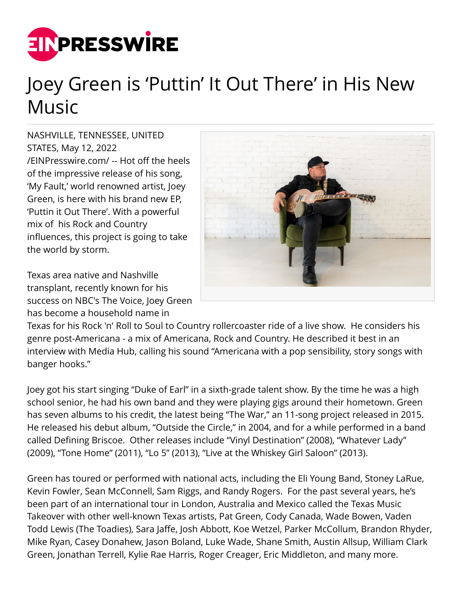

## Joey Green is 'Puttin' It Out There' in His New Music

NASHVILLE, TENNESSEE, UNITED STATES, May 12, 2022 [/EINPresswire.com/](http://www.einpresswire.com) -- Hot off the heels of the impressive release of his song, 'My Fault,' world renowned artist, Joey Green, is here with his brand new EP, 'Puttin it Out There'. With a powerful mix of his Rock and Country influences, this project is going to take the world by storm.

Texas area native and Nashville transplant, recently known for his success on NBC's The Voice, Joey Green has become a household name in



Texas for his Rock 'n' Roll to Soul to Country rollercoaster ride of a live show. He considers his genre post-Americana - a mix of Americana, Rock and Country. He described it best in an interview with Media Hub, calling his sound "Americana with a pop sensibility, story songs with banger hooks."

Joey got his start singing "Duke of Earl" in a sixth-grade talent show. By the time he was a high school senior, he had his own band and they were playing gigs around their hometown. Green has seven albums to his credit, the latest being "The War," an 11-song project released in 2015. He released his debut album, "Outside the Circle," in 2004, and for a while performed in a band called Defining Briscoe. Other releases include "Vinyl Destination" (2008), "Whatever Lady" (2009), "Tone Home" (2011), "Lo 5" (2013), "Live at the Whiskey Girl Saloon" (2013).

Green has toured or performed with national acts, including the Eli Young Band, Stoney LaRue, Kevin Fowler, Sean McConnell, Sam Riggs, and Randy Rogers. For the past several years, he's been part of an international tour in London, Australia and Mexico called the Texas Music Takeover with other well-known Texas artists, Pat Green, Cody Canada, Wade Bowen, Vaden Todd Lewis (The Toadies), Sara Jaffe, Josh Abbott, Koe Wetzel, Parker McCollum, Brandon Rhyder, Mike Ryan, Casey Donahew, Jason Boland, Luke Wade, Shane Smith, Austin Allsup, William Clark Green, Jonathan Terrell, Kylie Rae Harris, Roger Creager, Eric Middleton, and many more.